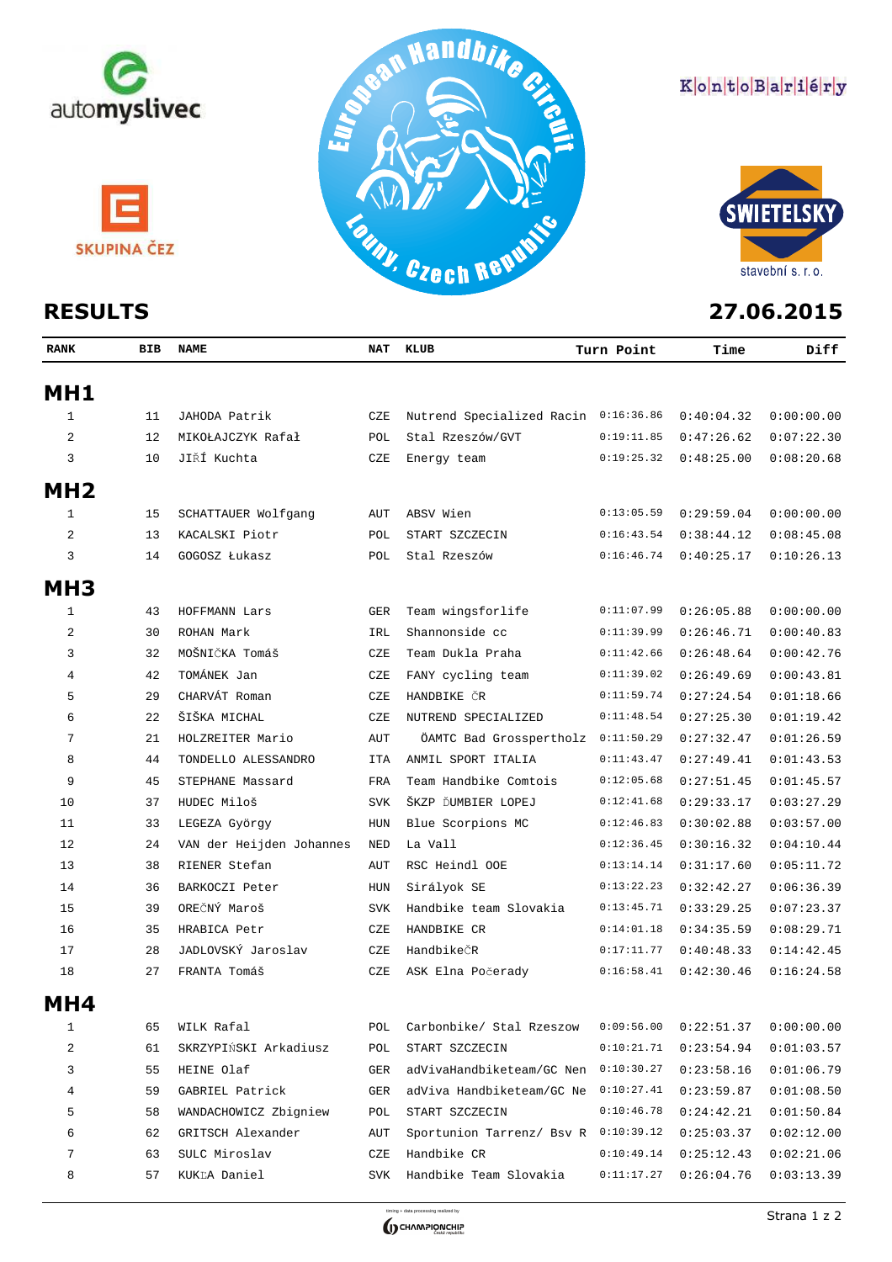

## KontoBariéry



| MH1          |    |                          |            |                                      |            |            |            |
|--------------|----|--------------------------|------------|--------------------------------------|------------|------------|------------|
| 1            | 11 | JAHODA Patrik            | CZE        | Nutrend Specialized Racin 0:16:36.86 |            | 0:40:04.32 | 0:00:00.00 |
| 2            | 12 | MIKOŁAJCZYK Rafał        | POL        | Stal Rzeszów/GVT                     | 0:19:11.85 | 0:47:26.62 | 0:07:22.30 |
| 3            | 10 | JIŘÍ Kuchta              | CZE        | Energy team                          | 0:19:25.32 | 0:48:25.00 | 0:08:20.68 |
| MH2          |    |                          |            |                                      |            |            |            |
| $\mathbf{1}$ | 15 | SCHATTAUER Wolfgang      | AUT        | ABSV Wien                            | 0:13:05.59 | 0:29:59.04 | 0:00:00.00 |
| 2            | 13 | KACALSKI Piotr           | POL        | START SZCZECIN                       | 0:16:43.54 | 0:38:44.12 | 0:08:45.08 |
| 3            | 14 | GOGOSZ Łukasz            | POL        | Stal Rzeszów                         | 0:16:46.74 | 0:40:25.17 | 0:10:26.13 |
| <b>MH3</b>   |    |                          |            |                                      |            |            |            |
| 1            | 43 | HOFFMANN Lars            | GER        | Team wingsforlife                    | 0:11:07.99 | 0:26:05.88 | 0:00:00.00 |
| 2            | 30 | ROHAN Mark               | IRL        | Shannonside cc                       | 0:11:39.99 | 0:26:46.71 | 0:00:40.83 |
| 3            | 32 | MOŠNIČKA Tomáš           | CZE        | Team Dukla Praha                     | 0:11:42.66 | 0:26:48.64 | 0:00:42.76 |
| 4            | 42 | TOMÁNEK Jan              | CZE        | FANY cycling team                    | 0:11:39.02 | 0:26:49.69 | 0:00:43.81 |
| 5            | 29 | CHARVÁT Roman            | CZE        | HANDBIKE ČR                          | 0:11:59.74 | 0:27:24.54 | 0:01:18.66 |
| 6            | 22 | ŠIŠKA MICHAL             | CZE        | NUTREND SPECIALIZED                  | 0:11:48.54 | 0:27:25.30 | 0:01:19.42 |
| 7            | 21 | HOLZREITER Mario         | AUT        | ÖAMTC Bad Grosspertholz              | 0:11:50.29 | 0:27:32.47 | 0:01:26.59 |
| 8            | 44 | TONDELLO ALESSANDRO      | ITA        | ANMIL SPORT ITALIA                   | 0:11:43.47 | 0:27:49.41 | 0:01:43.53 |
| 9            | 45 | STEPHANE Massard         | FRA        | Team Handbike Comtois                | 0:12:05.68 | 0:27:51.45 | 0:01:45.57 |
| 10           | 37 | HUDEC Miloš              | <b>SVK</b> | ŠKZP ĎUMBIER LOPEJ                   | 0:12:41.68 | 0:29:33.17 | 0:03:27.29 |
| 11           | 33 | LEGEZA György            | HUN        | Blue Scorpions MC                    | 0:12:46.83 | 0:30:02.88 | 0:03:57.00 |
| 12           | 24 | VAN der Heijden Johannes | NED        | La Vall                              | 0:12:36.45 | 0:30:16.32 | 0:04:10.44 |
| 13           | 38 | RIENER Stefan            | AUT        | RSC Heindl OOE                       | 0:13:14.14 | 0:31:17.60 | 0:05:11.72 |
| 14           | 36 | BARKOCZI Peter           | HUN        | Sirályok SE                          | 0:13:22.23 | 0:32:42.27 | 0:06:36.39 |
| 15           | 39 | OREČNÝ Maroš             | <b>SVK</b> | Handbike team Slovakia               | 0:13:45.71 | 0:33:29.25 | 0:07:23.37 |
| 16           | 35 | HRABICA Petr             | CZE        | HANDBIKE CR                          | 0:14:01.18 | 0:34:35.59 | 0:08:29.71 |
| 17           | 28 | JADLOVSKÝ Jaroslav       | CZE        | HandbikeČR                           | 0:17:11.77 | 0:40:48.33 | 0:14:42.45 |
| 18           | 27 | FRANTA Tomáš             | CZE        | ASK Elna Počerady                    | 0:16:58.41 | 0:42:30.46 | 0:16:24.58 |
| MH4          |    |                          |            |                                      |            |            |            |
| 1            | 65 | WILK Rafal               | POL        | Carbonbike/ Stal Rzeszow             | 0:09:56.00 | 0:22:51.37 | 0:00:00.00 |
| 2            | 61 | SKRZYPIŃSKI Arkadiusz    | POL        | START SZCZECIN                       | 0:10:21.71 | 0:23:54.94 | 0:01:03.57 |
| 3            | 55 | HEINE Olaf               | GER        | adVivaHandbiketeam/GC Nen            | 0:10:30.27 | 0:23:58.16 | 0:01:06.79 |
| 4            | 59 | GABRIEL Patrick          | GER        | adViva Handbiketeam/GC Ne            | 0:10:27.41 | 0:23:59.87 | 0:01:08.50 |
| 5            | 58 | WANDACHOWICZ Zbigniew    | POL        | START SZCZECIN                       | 0:10:46.78 | 0:24:42.21 | 0:01:50.84 |
| 6            | 62 | GRITSCH Alexander        | AUT        | Sportunion Tarrenz/ Bsv R 0:10:39.12 |            | 0:25:03.37 | 0:02:12.00 |
| 7            | 63 | SULC Miroslav            | CZE        | Handbike CR                          | 0:10:49.14 | 0:25:12.43 | 0:02:21.06 |

**RANK BIB NAME NAT KLUB Time Diff**

**Turn Point**



57 KUKĽA Daniel SVK Handbike Team Slovakia 0:11:17.27 0:26:04.76 0:03:13.39